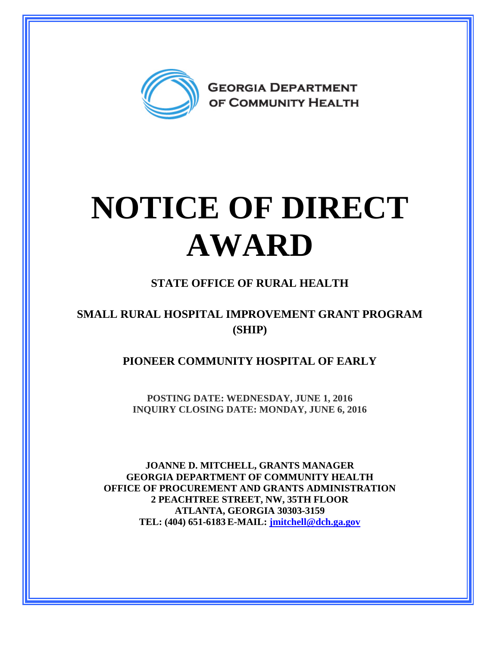

## **NOTICE OF DIRECT AWARD**

## **STATE OFFICE OF RURAL HEALTH**

## **SMALL RURAL HOSPITAL IMPROVEMENT GRANT PROGRAM (SHIP)**

**PIONEER COMMUNITY HOSPITAL OF EARLY**

**POSTING DATE: WEDNESDAY, JUNE 1, 2016 INQUIRY CLOSING DATE: MONDAY, JUNE 6, 2016** 

**JOANNE D. MITCHELL, GRANTS MANAGER GEORGIA DEPARTMENT OF COMMUNITY HEALTH OFFICE OF PROCUREMENT AND GRANTS ADMINISTRATION 2 PEACHTREE STREET, NW, 35TH FLOOR ATLANTA, GEORGIA 30303-3159 TEL: (404) 651-6183 E-MAIL: [jmitchell@dch.ga.gov](mailto:awatson@dch.ga.gov)**